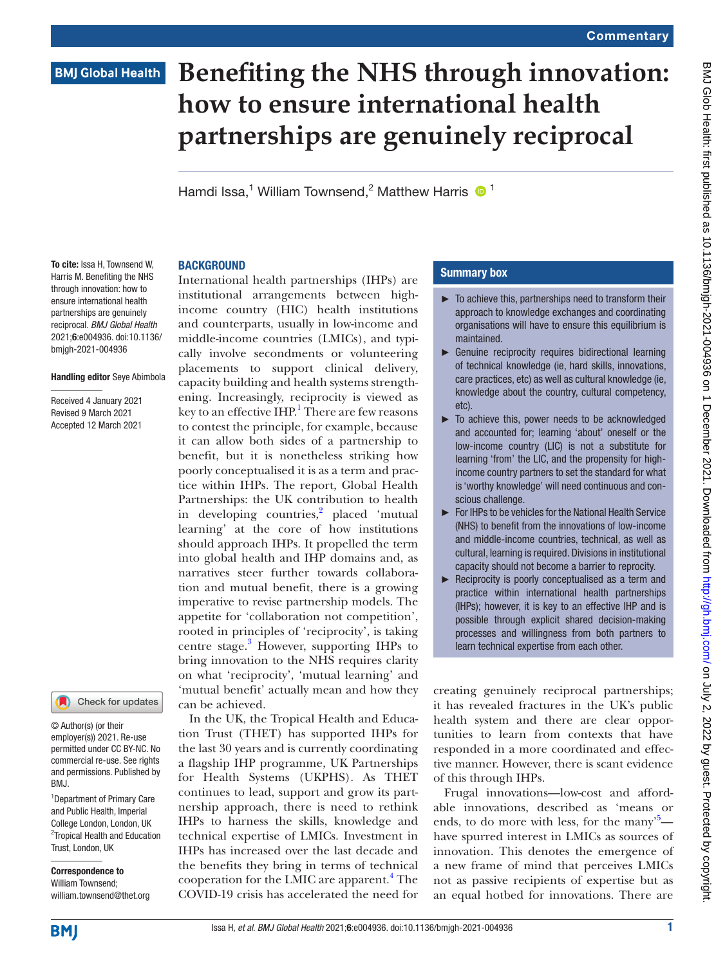# **BMJ Global Health**

# **Benefiting the NHS through innovation: how to ensure international health partnerships are genuinely reciprocal**

Hamdi Issa,<sup>1</sup> William Townsend,<sup>2</sup> Matthew Harris  $\bullet$ <sup>1</sup>

#### **BACKGROUND**

To cite: Issa H, Townsend W, Harris M. Benefiting the NHS through innovation: how to ensure international health partnerships are genuinely reciprocal. *BMJ Global Health* 2021;6:e004936. doi:10.1136/ bmjgh-2021-004936

#### Handling editor Seye Abimbola

Received 4 January 2021 Revised 9 March 2021 Accepted 12 March 2021

## Check for updates

© Author(s) (or their employer(s)) 2021. Re-use permitted under CC BY-NC. No commercial re-use. See rights and permissions. Published by BMJ.

1 Department of Primary Care and Public Health, Imperial College London, London, UK 2 Tropical Health and Education Trust, London, UK

Correspondence to William Townsend; william.townsend@thet.org International health partnerships (IHPs) are institutional arrangements between highincome country (HIC) health institutions and counterparts, usually in low-income and middle-income countries (LMICs), and typically involve secondments or volunteering placements to support clinical delivery, capacity building and health systems strengthening. Increasingly, reciprocity is viewed as key to an effective IHP.<sup>1</sup> There are few reasons to contest the principle, for example, because it can allow both sides of a partnership to benefit, but it is nonetheless striking how poorly conceptualised it is as a term and practice within IHPs. The report, Global Health Partnerships: the UK contribution to health in developing countries,<sup>[2](#page-2-1)</sup> placed 'mutual learning' at the core of how institutions should approach IHPs. It propelled the term into global health and IHP domains and, as narratives steer further towards collaboration and mutual benefit, there is a growing imperative to revise partnership models. The appetite for 'collaboration not competition', rooted in principles of 'reciprocity', is taking centre stage.<sup>3</sup> However, supporting IHPs to bring innovation to the NHS requires clarity on what 'reciprocity', 'mutual learning' and 'mutual benefit' actually mean and how they can be achieved.

In the UK, the Tropical Health and Education Trust (THET) has supported IHPs for the last 30 years and is currently coordinating a flagship IHP programme, UK Partnerships for Health Systems (UKPHS). As THET continues to lead, support and grow its partnership approach, there is need to rethink IHPs to harness the skills, knowledge and technical expertise of LMICs. Investment in IHPs has increased over the last decade and the benefits they bring in terms of technical cooperation for the LMIC are apparent.<sup>[4](#page-2-3)</sup> The COVID-19 crisis has accelerated the need for

### Summary box

- $\blacktriangleright$  To achieve this, partnerships need to transform their approach to knowledge exchanges and coordinating organisations will have to ensure this equilibrium is maintained.
- ► Genuine reciprocity requires bidirectional learning of technical knowledge (ie, hard skills, innovations, care practices, etc) as well as cultural knowledge (ie, knowledge about the country, cultural competency, etc).
- $\blacktriangleright$  To achieve this, power needs to be acknowledged and accounted for; learning 'about' oneself or the low-income country (LIC) is not a substitute for learning 'from' the LIC, and the propensity for highincome country partners to set the standard for what is 'worthy knowledge' will need continuous and conscious challenge.
- ► For IHPs to be vehicles for the National Health Service (NHS) to benefit from the innovations of low-income and middle-income countries, technical, as well as cultural, learning is required. Divisions in institutional capacity should not become a barrier to reprocity.
- ► Reciprocity is poorly conceptualised as a term and practice within international health partnerships (IHPs); however, it is key to an effective IHP and is possible through explicit shared decision-making processes and willingness from both partners to learn technical expertise from each other.

creating genuinely reciprocal partnerships; it has revealed fractures in the UK's public health system and there are clear opportunities to learn from contexts that have responded in a more coordinated and effective manner. However, there is scant evidence of this through IHPs.

Frugal innovations—low-cost and affordable innovations, described as 'means or ends, to do more with less, for the many<sup>[5](#page-2-4)</sup> have spurred interest in LMICs as sources of innovation. This denotes the emergence of a new frame of mind that perceives LMICs not as passive recipients of expertise but as an equal hotbed for innovations. There are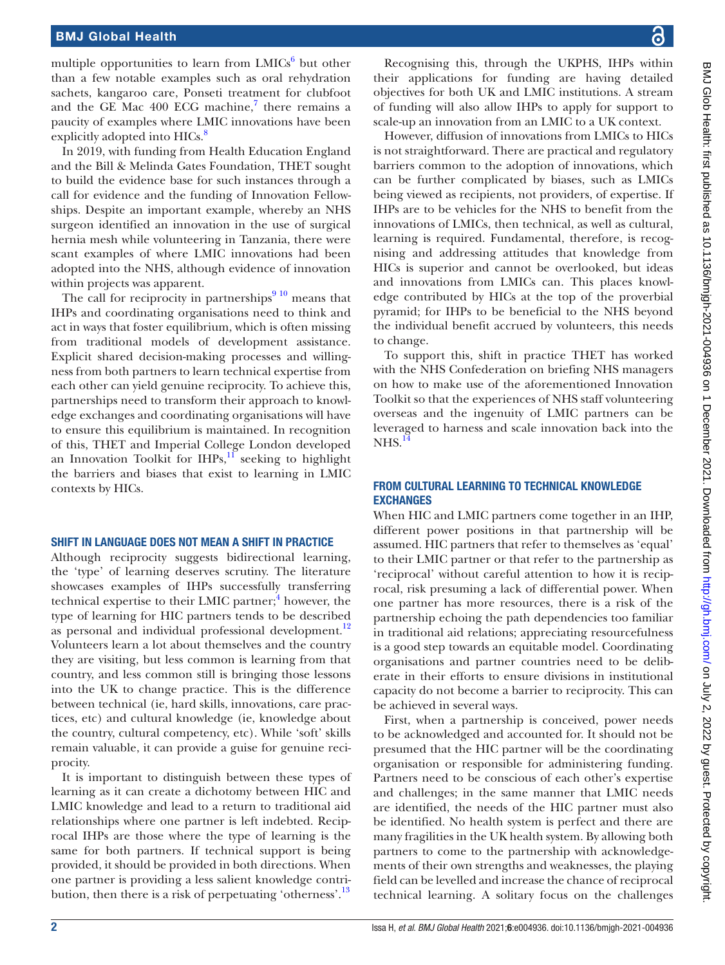#### BMJ Global Health

multiple opportunities to learn from  $LMICs<sup>6</sup>$  $LMICs<sup>6</sup>$  $LMICs<sup>6</sup>$  but other than a few notable examples such as oral rehydration sachets, kangaroo care, Ponseti treatment for clubfoot and the GE Mac  $400$  ECG machine,<sup>[7](#page-2-6)</sup> there remains a paucity of examples where LMIC innovations have been explicitly adopted into HICs.<sup>8</sup>

In 2019, with funding from Health Education England and the Bill & Melinda Gates Foundation, THET sought to build the evidence base for such instances through a call for evidence and the funding of Innovation Fellowships. Despite an important example, whereby an NHS surgeon identified an innovation in the use of surgical hernia mesh while volunteering in Tanzania, there were scant examples of where LMIC innovations had been adopted into the NHS, although evidence of innovation within projects was apparent.

The call for reciprocity in partnerships $910$  means that IHPs and coordinating organisations need to think and act in ways that foster equilibrium, which is often missing from traditional models of development assistance. Explicit shared decision-making processes and willingness from both partners to learn technical expertise from each other can yield genuine reciprocity. To achieve this, partnerships need to transform their approach to knowledge exchanges and coordinating organisations will have to ensure this equilibrium is maintained. In recognition of this, THET and Imperial College London developed an Innovation Toolkit for IHPs, $\frac{11}{11}$  $\frac{11}{11}$  $\frac{11}{11}$  seeking to highlight the barriers and biases that exist to learning in LMIC contexts by HICs.

#### SHIFT IN LANGUAGE DOES NOT MEAN A SHIFT IN PRACTICE

Although reciprocity suggests bidirectional learning, the 'type' of learning deserves scrutiny. The literature showcases examples of IHPs successfully transferring technical expertise to their LMIC partner;<sup>[4](#page-2-3)</sup> however, the type of learning for HIC partners tends to be described as personal and individual professional development.<sup>12</sup> Volunteers learn a lot about themselves and the country they are visiting, but less common is learning from that country, and less common still is bringing those lessons into the UK to change practice. This is the difference between technical (ie, hard skills, innovations, care practices, etc) and cultural knowledge (ie, knowledge about the country, cultural competency, etc). While 'soft' skills remain valuable, it can provide a guise for genuine reciprocity.

It is important to distinguish between these types of learning as it can create a dichotomy between HIC and LMIC knowledge and lead to a return to traditional aid relationships where one partner is left indebted. Reciprocal IHPs are those where the type of learning is the same for both partners. If technical support is being provided, it should be provided in both directions. When one partner is providing a less salient knowledge contri-bution, then there is a risk of perpetuating 'otherness'.<sup>[13](#page-2-11)</sup>

Recognising this, through the UKPHS, IHPs within their applications for funding are having detailed objectives for both UK and LMIC institutions. A stream of funding will also allow IHPs to apply for support to scale-up an innovation from an LMIC to a UK context.

However, diffusion of innovations from LMICs to HICs is not straightforward. There are practical and regulatory barriers common to the adoption of innovations, which can be further complicated by biases, such as LMICs being viewed as recipients, not providers, of expertise. If IHPs are to be vehicles for the NHS to benefit from the innovations of LMICs, then technical, as well as cultural, learning is required. Fundamental, therefore, is recognising and addressing attitudes that knowledge from HICs is superior and cannot be overlooked, but ideas and innovations from LMICs can. This places knowledge contributed by HICs at the top of the proverbial pyramid; for IHPs to be beneficial to the NHS beyond the individual benefit accrued by volunteers, this needs to change.

To support this, shift in practice THET has worked with the NHS Confederation on briefing NHS managers on how to make use of the aforementioned Innovation Toolkit so that the experiences of NHS staff volunteering overseas and the ingenuity of LMIC partners can be leveraged to harness and scale innovation back into the NHS.<sup>14</sup>

### FROM CULTURAL LEARNING TO TECHNICAL KNOWLEDGE EXCHANGES

When HIC and LMIC partners come together in an IHP, different power positions in that partnership will be assumed. HIC partners that refer to themselves as 'equal' to their LMIC partner or that refer to the partnership as 'reciprocal' without careful attention to how it is reciprocal, risk presuming a lack of differential power. When one partner has more resources, there is a risk of the partnership echoing the path dependencies too familiar in traditional aid relations; appreciating resourcefulness is a good step towards an equitable model. Coordinating organisations and partner countries need to be deliberate in their efforts to ensure divisions in institutional capacity do not become a barrier to reciprocity. This can be achieved in several ways.

First, when a partnership is conceived, power needs to be acknowledged and accounted for. It should not be presumed that the HIC partner will be the coordinating organisation or responsible for administering funding. Partners need to be conscious of each other's expertise and challenges; in the same manner that LMIC needs are identified, the needs of the HIC partner must also be identified. No health system is perfect and there are many fragilities in the UK health system. By allowing both partners to come to the partnership with acknowledgements of their own strengths and weaknesses, the playing field can be levelled and increase the chance of reciprocal technical learning. A solitary focus on the challenges